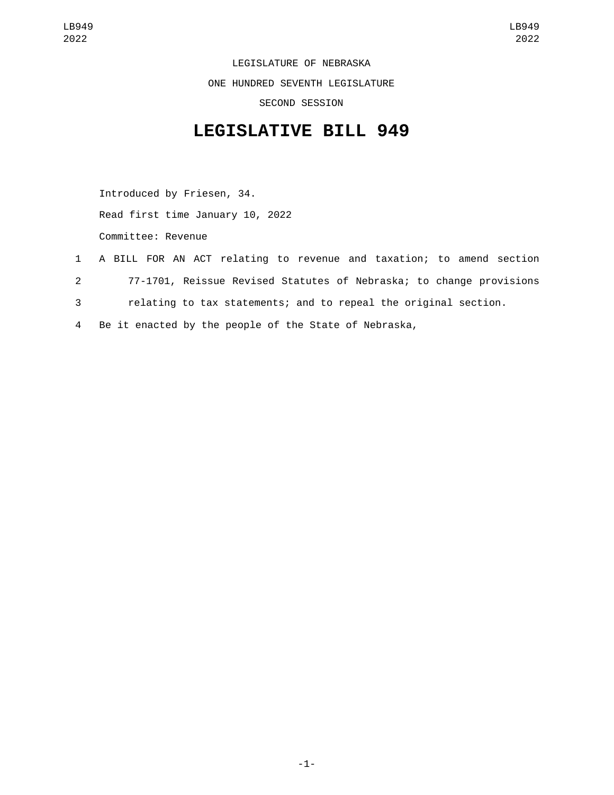LEGISLATURE OF NEBRASKA ONE HUNDRED SEVENTH LEGISLATURE SECOND SESSION

## **LEGISLATIVE BILL 949**

Introduced by Friesen, 34. Read first time January 10, 2022 Committee: Revenue

- 1 A BILL FOR AN ACT relating to revenue and taxation; to amend section 2 77-1701, Reissue Revised Statutes of Nebraska; to change provisions 3 relating to tax statements; and to repeal the original section.
- 4 Be it enacted by the people of the State of Nebraska,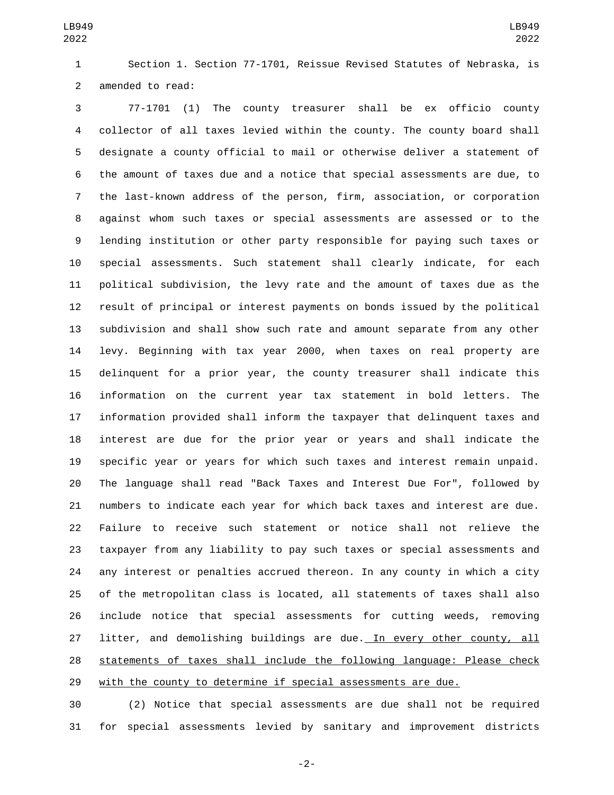Section 1. Section 77-1701, Reissue Revised Statutes of Nebraska, is 2 amended to read:

 77-1701 (1) The county treasurer shall be ex officio county collector of all taxes levied within the county. The county board shall designate a county official to mail or otherwise deliver a statement of the amount of taxes due and a notice that special assessments are due, to the last-known address of the person, firm, association, or corporation against whom such taxes or special assessments are assessed or to the lending institution or other party responsible for paying such taxes or special assessments. Such statement shall clearly indicate, for each political subdivision, the levy rate and the amount of taxes due as the result of principal or interest payments on bonds issued by the political subdivision and shall show such rate and amount separate from any other levy. Beginning with tax year 2000, when taxes on real property are delinquent for a prior year, the county treasurer shall indicate this information on the current year tax statement in bold letters. The information provided shall inform the taxpayer that delinquent taxes and interest are due for the prior year or years and shall indicate the specific year or years for which such taxes and interest remain unpaid. The language shall read "Back Taxes and Interest Due For", followed by numbers to indicate each year for which back taxes and interest are due. Failure to receive such statement or notice shall not relieve the taxpayer from any liability to pay such taxes or special assessments and any interest or penalties accrued thereon. In any county in which a city of the metropolitan class is located, all statements of taxes shall also include notice that special assessments for cutting weeds, removing litter, and demolishing buildings are due. In every other county, all statements of taxes shall include the following language: Please check 29 with the county to determine if special assessments are due.

 (2) Notice that special assessments are due shall not be required for special assessments levied by sanitary and improvement districts

-2-